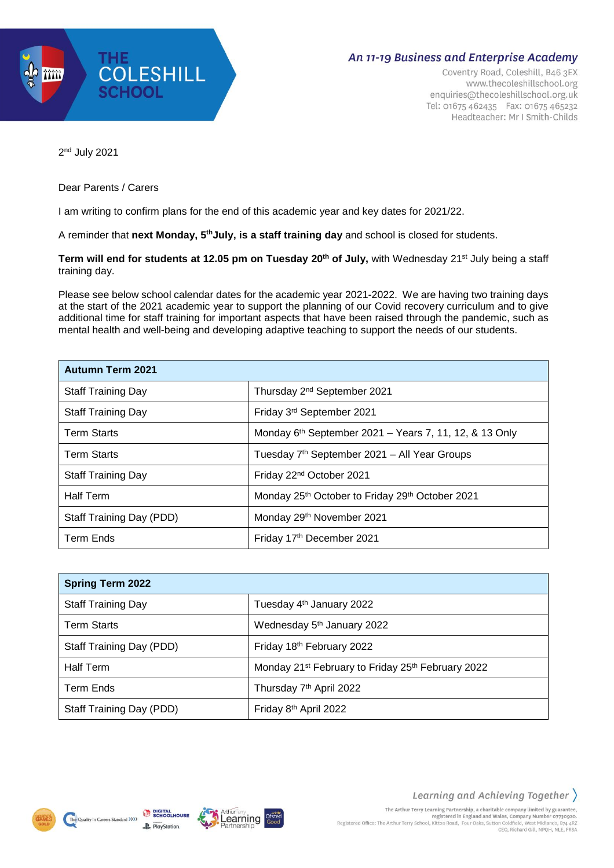

## An 11-19 Business and Enterprise Academy

Coventry Road, Coleshill, B46 3EX www.thecoleshillschool.org enquiries@thecoleshillschool.org.uk Tel: 01675 462435 Fax: 01675 465232 Headteacher: Mr I Smith-Childs

2 nd July 2021

## Dear Parents / Carers

I am writing to confirm plans for the end of this academic year and key dates for 2021/22.

A reminder that **next Monday, 5 thJuly, is a staff training day** and school is closed for students.

**Term will end for students at 12.05 pm on Tuesday 20th of July,** with Wednesday 21st July being a staff training day.

Please see below school calendar dates for the academic year 2021-2022. We are having two training days at the start of the 2021 academic year to support the planning of our Covid recovery curriculum and to give additional time for staff training for important aspects that have been raised through the pandemic, such as mental health and well-being and developing adaptive teaching to support the needs of our students.

| <b>Autumn Term 2021</b>   |                                                                         |
|---------------------------|-------------------------------------------------------------------------|
| <b>Staff Training Day</b> | Thursday 2 <sup>nd</sup> September 2021                                 |
| Staff Training Day        | Friday 3rd September 2021                                               |
| <b>Term Starts</b>        | Monday $6th$ September 2021 – Years 7, 11, 12, & 13 Only                |
| <b>Term Starts</b>        | Tuesday 7 <sup>th</sup> September 2021 - All Year Groups                |
| <b>Staff Training Day</b> | Friday 22 <sup>nd</sup> October 2021                                    |
| <b>Half Term</b>          | Monday 25 <sup>th</sup> October to Friday 29 <sup>th</sup> October 2021 |
| Staff Training Day (PDD)  | Monday 29th November 2021                                               |
| <b>Term Ends</b>          | Friday 17th December 2021                                               |

| <b>Spring Term 2022</b>   |                                                                           |
|---------------------------|---------------------------------------------------------------------------|
| <b>Staff Training Day</b> | Tuesday 4 <sup>th</sup> January 2022                                      |
| <b>Term Starts</b>        | Wednesday 5th January 2022                                                |
| Staff Training Day (PDD)  | Friday 18th February 2022                                                 |
| <b>Half Term</b>          | Monday 21 <sup>st</sup> February to Friday 25 <sup>th</sup> February 2022 |
| <b>Term Ends</b>          | Thursday 7 <sup>th</sup> April 2022                                       |
| Staff Training Day (PDD)  | Friday 8th April 2022                                                     |